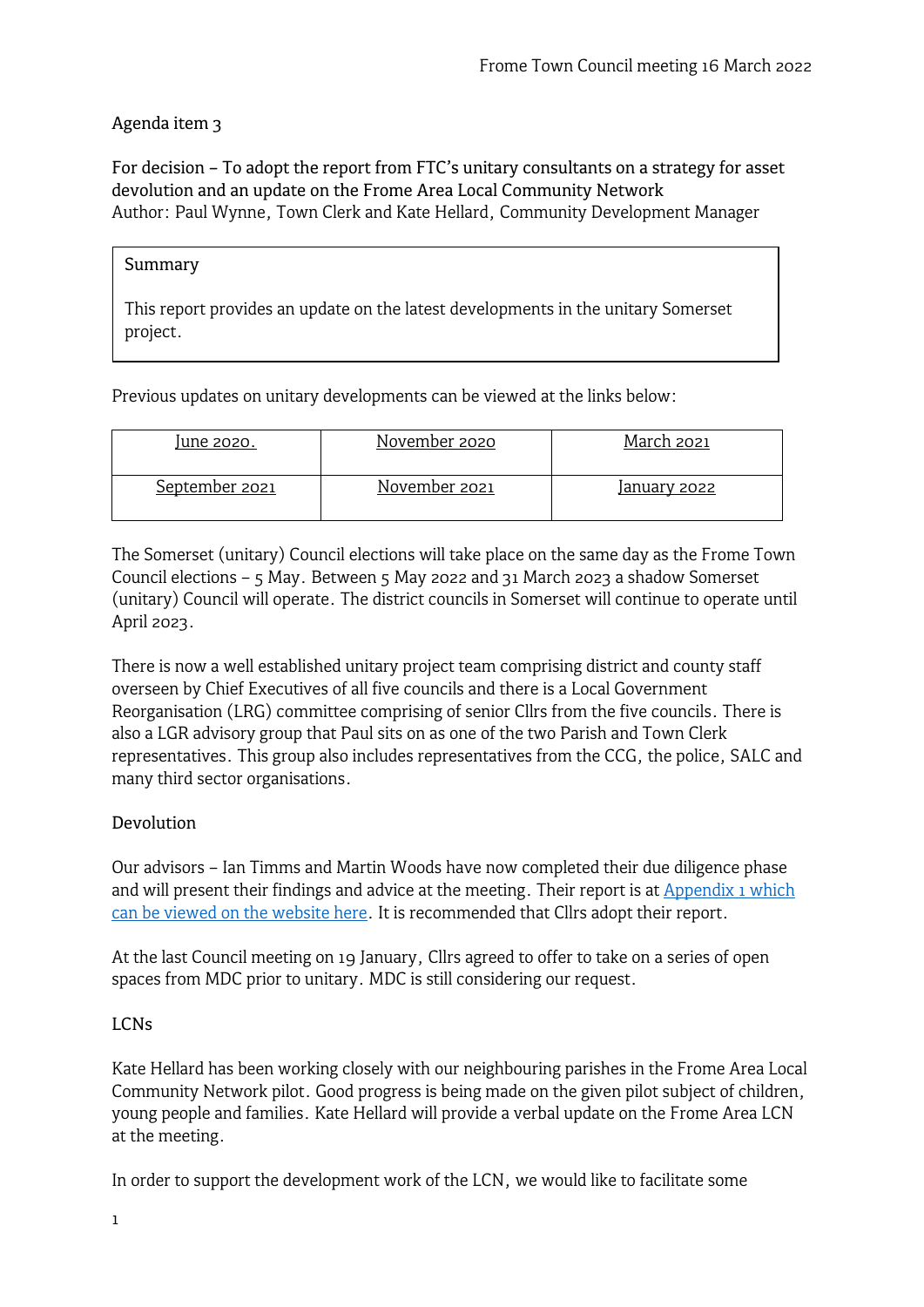# Agenda item 3

For decision – To adopt the report from FTC's unitary consultants on a strategy for asset devolution and an update on the Frome Area Local Community Network Author: Paul Wynne, Town Clerk and Kate Hellard, Community Development Manager

#### Summary

This report provides an update on the latest developments in the unitary Somerset project.

Previous updates on unitary developments can be viewed at the links below:

| lune 2020.     | November 2020 | March 2021          |
|----------------|---------------|---------------------|
| September 2021 | November 2021 | <u>January 2022</u> |

The Somerset (unitary) Council elections will take place on the same day as the Frome Town Council elections – 5 May. Between 5 May 2022 and 31 March 2023 a shadow Somerset (unitary) Council will operate. The district councils in Somerset will continue to operate until April 2023.

There is now a well established unitary project team comprising district and county staff overseen by Chief Executives of all five councils and there is a Local Government Reorganisation (LRG) committee comprising of senior Cllrs from the five councils. There is also a LGR advisory group that Paul sits on as one of the two Parish and Town Clerk representatives. This group also includes representatives from the CCG, the police, SALC and many third sector organisations.

## Devolution

Our advisors – Ian Timms and Martin Woods have now completed their due diligence phase and will present their findings and advice at the meeting. Their report is at **Appendix 1 which** [can be viewed on the website here.](https://www.frometowncouncil.gov.uk/wp-content/uploads/2022/03/Appendix-1-Unitary-Report.pdf) It is recommended that Cllrs adopt their report.

At the last Council meeting on 19 January, Cllrs agreed to offer to take on a series of open spaces from MDC prior to unitary. MDC is still considering our request.

## LCNs

Kate Hellard has been working closely with our neighbouring parishes in the Frome Area Local Community Network pilot. Good progress is being made on the given pilot subject of children, young people and families. Kate Hellard will provide a verbal update on the Frome Area LCN at the meeting.

In order to support the development work of the LCN, we would like to facilitate some